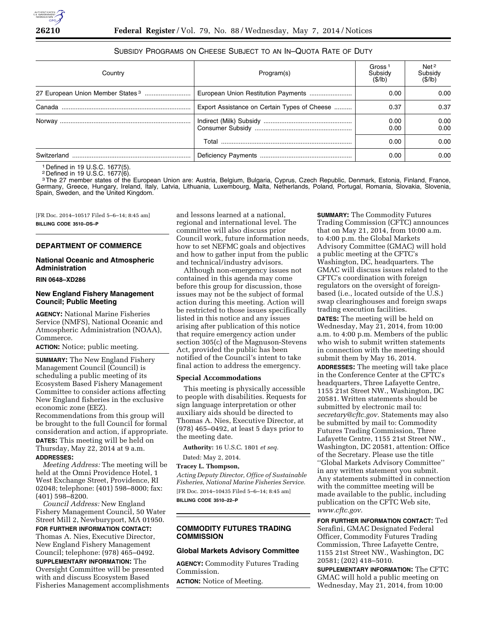# SUBSIDY PROGRAMS ON CHEESE SUBJECT TO AN IN–QUOTA RATE OF DUTY

| Country | Program(s)                                   | Gross <sup>1</sup><br>Subsidy<br>(S/lb) | Net <sup>2</sup><br>Subsidy<br>(S/lb) |
|---------|----------------------------------------------|-----------------------------------------|---------------------------------------|
|         |                                              | 0.00                                    | 0.00                                  |
|         | Export Assistance on Certain Types of Cheese | 0.37                                    | 0.37                                  |
|         |                                              | 0.00<br>0.00                            | 0.00<br>0.00                          |
|         |                                              | 0.00                                    | 0.00                                  |
|         |                                              | 0.00                                    | 0.00                                  |

1 Defined in 19 U.S.C. 1677(5).

2 Defined in 19 U.S.C. 1677(6).

<sup>3</sup>The 27 member states of the European Union are: Austria, Belgium, Bulgaria, Cyprus, Czech Republic, Denmark, Estonia, Finland, France, Germany, Greece, Hungary, Ireland, Italy, Latvia, Lithuania, Luxembourg, Malta, Netherlands, Poland, Portugal, Romania, Slovakia, Slovenia, Spain, Sweden, and the United Kingdom.

[FR Doc. 2014–10517 Filed 5–6–14; 8:45 am] **BILLING CODE 3510–DS–P** 

# **DEPARTMENT OF COMMERCE**

## **National Oceanic and Atmospheric Administration**

## **RIN 0648–XD286**

## **New England Fishery Management Council; Public Meeting**

**AGENCY:** National Marine Fisheries Service (NMFS), National Oceanic and Atmospheric Administration (NOAA), Commerce.

**ACTION:** Notice; public meeting.

**SUMMARY:** The New England Fishery Management Council (Council) is scheduling a public meeting of its Ecosystem Based Fishery Management Committee to consider actions affecting New England fisheries in the exclusive economic zone (EEZ). Recommendations from this group will

be brought to the full Council for formal consideration and action, if appropriate. **DATES:** This meeting will be held on Thursday, May 22, 2014 at 9 a.m. **ADDRESSES:** 

*Meeting Address:* The meeting will be held at the Omni Providence Hotel, 1 West Exchange Street, Providence, RI 02048; telephone: (401) 598–8000; fax: (401) 598–8200.

*Council Address:* New England Fishery Management Council, 50 Water Street Mill 2, Newburyport, MA 01950. **FOR FURTHER INFORMATION CONTACT:**  Thomas A. Nies, Executive Director, New England Fishery Management

Council; telephone: (978) 465–0492. **SUPPLEMENTARY INFORMATION:** The Oversight Committee will be presented

with and discuss Ecosystem Based Fisheries Management accomplishments and lessons learned at a national, regional and international level. The committee will also discuss prior Council work, future information needs, how to set NEFMC goals and objectives and how to gather input from the public and technical/industry advisors.

Although non-emergency issues not contained in this agenda may come before this group for discussion, those issues may not be the subject of formal action during this meeting. Action will be restricted to those issues specifically listed in this notice and any issues arising after publication of this notice that require emergency action under section 305(c) of the Magnuson-Stevens Act, provided the public has been notified of the Council's intent to take final action to address the emergency.

#### **Special Accommodations**

This meeting is physically accessible to people with disabilities. Requests for sign language interpretation or other auxiliary aids should be directed to Thomas A. Nies, Executive Director, at (978) 465–0492, at least 5 days prior to the meeting date.

**Authority:** 16 U.S.C. 1801 *et seq.* 

Dated: May 2, 2014.

**Tracey L. Thompson,** 

*Acting Deputy Director, Office of Sustainable Fisheries, National Marine Fisheries Service.*  [FR Doc. 2014–10435 Filed 5–6–14; 8:45 am] **BILLING CODE 3510–22–P** 

# **COMMODITY FUTURES TRADING COMMISSION**

#### **Global Markets Advisory Committee**

**AGENCY:** Commodity Futures Trading Commission.

**ACTION:** Notice of Meeting.

**SUMMARY:** The Commodity Futures Trading Commission (CFTC) announces that on May 21, 2014, from 10:00 a.m. to 4:00 p.m. the Global Markets Advisory Committee (GMAC) will hold a public meeting at the CFTC's Washington, DC, headquarters. The GMAC will discuss issues related to the CFTC's coordination with foreign regulators on the oversight of foreignbased (i.e., located outside of the U.S.) swap clearinghouses and foreign swaps trading execution facilities. **DATES:** The meeting will be held on Wednesday, May 21, 2014, from 10:00 a.m. to 4:00 p.m. Members of the public who wish to submit written statements in connection with the meeting should submit them by May 16, 2014. **ADDRESSES:** The meeting will take place in the Conference Center at the CFTC's headquarters, Three Lafayette Centre, 1155 21st Street NW., Washington, DC 20581. Written statements should be submitted by electronic mail to: *[secretary@cftc.gov.](mailto:secretary@cftc.gov)* Statements may also be submitted by mail to: Commodity Futures Trading Commission, Three Lafayette Centre, 1155 21st Street NW., Washington, DC 20581, attention: Office of the Secretary. Please use the title ''Global Markets Advisory Committee'' in any written statement you submit. Any statements submitted in connection with the committee meeting will be made available to the public, including publication on the CFTC Web site, *[www.cftc.gov.](http://www.cftc.gov)* 

**FOR FURTHER INFORMATION CONTACT:** Ted Serafini, GMAC Designated Federal Officer, Commodity Futures Trading Commission, Three Lafayette Centre, 1155 21st Street NW., Washington, DC 20581; (202) 418–5010.

**SUPPLEMENTARY INFORMATION:** The CFTC GMAC will hold a public meeting on Wednesday, May 21, 2014, from 10:00